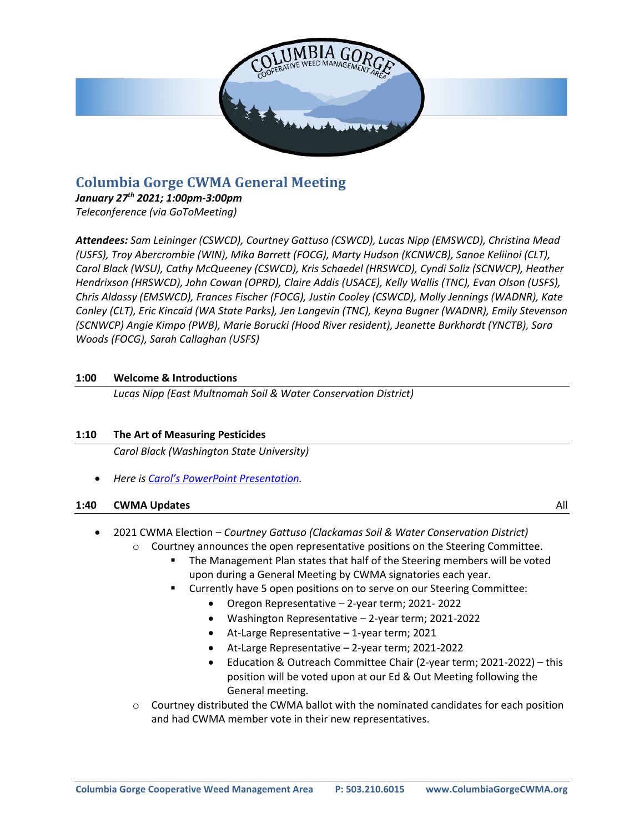

# **Columbia Gorge CWMA General Meeting**

# *January 27 th 2021; 1:00pm-3:00pm*

*Teleconference (via GoToMeeting)*

*Attendees: Sam Leininger (CSWCD), Courtney Gattuso (CSWCD), Lucas Nipp (EMSWCD), Christina Mead (USFS), Troy Abercrombie (WIN), Mika Barrett (FOCG), Marty Hudson (KCNWCB), Sanoe Keliinoi (CLT), Carol Black (WSU), Cathy McQueeney (CSWCD), Kris Schaedel (HRSWCD), Cyndi Soliz (SCNWCP), Heather Hendrixson (HRSWCD), John Cowan (OPRD), Claire Addis (USACE), Kelly Wallis (TNC), Evan Olson (USFS), Chris Aldassy (EMSWCD), Frances Fischer (FOCG), Justin Cooley (CSWCD), Molly Jennings (WADNR), Kate Conley (CLT), Eric Kincaid (WA State Parks), Jen Langevin (TNC), Keyna Bugner (WADNR), Emily Stevenson (SCNWCP) Angie Kimpo (PWB), Marie Borucki (Hood River resident), Jeanette Burkhardt (YNCTB), Sara Woods (FOCG), Sarah Callaghan (USFS)*

### **1:00 Welcome & Introductions**

*Lucas Nipp (East Multnomah Soil & Water Conservation District)*

### **1:10 The Art of Measuring Pesticides**

*Carol Black (Washington State University)*

• *Here is Carol's [PowerPoint Presentation.](https://columbiagorgecwma.files.wordpress.com/2021/02/art_of_measuring-_c-black-columbia-gorge-cwma-2021.pdf)*

#### **1:40 CWMA Updates** All

- 2021 CWMA Election *Courtney Gattuso (Clackamas Soil & Water Conservation District)*
	- $\circ$  Courtney announces the open representative positions on the Steering Committee.
		- The Management Plan states that half of the Steering members will be voted upon during a General Meeting by CWMA signatories each year.
		- Currently have 5 open positions on to serve on our Steering Committee:
			- Oregon Representative 2-year term; 2021- 2022
			- Washington Representative 2-year term; 2021-2022
			- At-Large Representative 1-year term; 2021
			- At-Large Representative 2-year term; 2021-2022
			- Education & Outreach Committee Chair (2-year term; 2021-2022) this position will be voted upon at our Ed & Out Meeting following the General meeting.
	- $\circ$  Courtney distributed the CWMA ballot with the nominated candidates for each position and had CWMA member vote in their new representatives.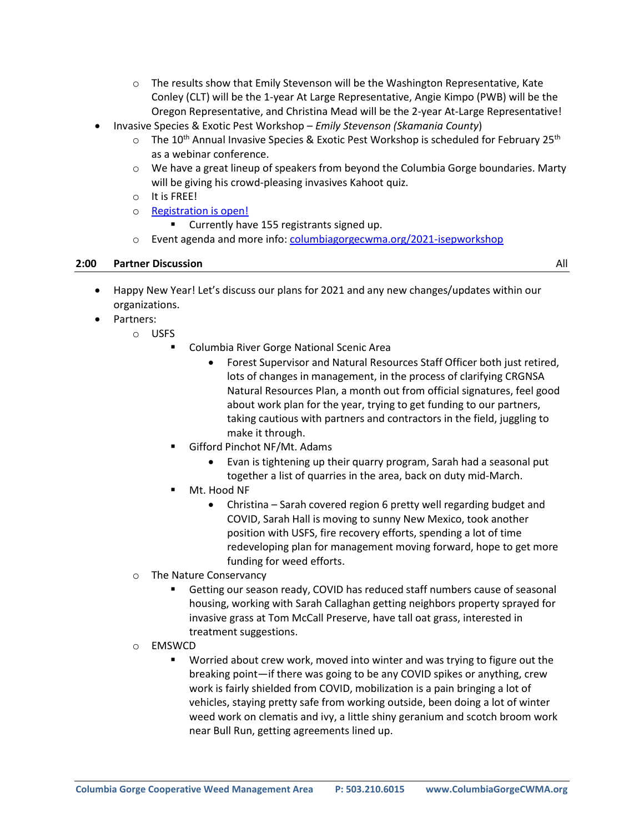- $\circ$  The results show that Emily Stevenson will be the Washington Representative, Kate Conley (CLT) will be the 1-year At Large Representative, Angie Kimpo (PWB) will be the Oregon Representative, and Christina Mead will be the 2-year At-Large Representative!
- Invasive Species & Exotic Pest Workshop *Emily Stevenson (Skamania County*)
	- $\circ$  The 10<sup>th</sup> Annual Invasive Species & Exotic Pest Workshop is scheduled for February 25<sup>th</sup> as a webinar conference.
	- $\circ$  We have a great lineup of speakers from beyond the Columbia Gorge boundaries. Marty will be giving his crowd-pleasing invasives Kahoot quiz.
	- o It is FREE!
	- o [Registration is open!](https://attendee.gotowebinar.com/register/8666675418408863248)
		- Currently have 155 registrants signed up.
	- o Event agenda and more info[: columbiagorgecwma.org/2021-isepworkshop](https://columbiagorgecwma.org/2021-isepworkshop/)

#### **2:00 Partner Discussion** All

- Happy New Year! Let's discuss our plans for 2021 and any new changes/updates within our organizations.
- Partners:
	- o USFS
		- Columbia River Gorge National Scenic Area
			- Forest Supervisor and Natural Resources Staff Officer both just retired, lots of changes in management, in the process of clarifying CRGNSA Natural Resources Plan, a month out from official signatures, feel good about work plan for the year, trying to get funding to our partners, taking cautious with partners and contractors in the field, juggling to make it through.
		- Gifford Pinchot NF/Mt. Adams
			- Evan is tightening up their quarry program, Sarah had a seasonal put together a list of quarries in the area, back on duty mid-March.
		- Mt. Hood NF
			- Christina Sarah covered region 6 pretty well regarding budget and COVID, Sarah Hall is moving to sunny New Mexico, took another position with USFS, fire recovery efforts, spending a lot of time redeveloping plan for management moving forward, hope to get more funding for weed efforts.
	- o The Nature Conservancy
		- Getting our season ready, COVID has reduced staff numbers cause of seasonal housing, working with Sarah Callaghan getting neighbors property sprayed for invasive grass at Tom McCall Preserve, have tall oat grass, interested in treatment suggestions.
	- o EMSWCD
		- Worried about crew work, moved into winter and was trying to figure out the breaking point—if there was going to be any COVID spikes or anything, crew work is fairly shielded from COVID, mobilization is a pain bringing a lot of vehicles, staying pretty safe from working outside, been doing a lot of winter weed work on clematis and ivy, a little shiny geranium and scotch broom work near Bull Run, getting agreements lined up.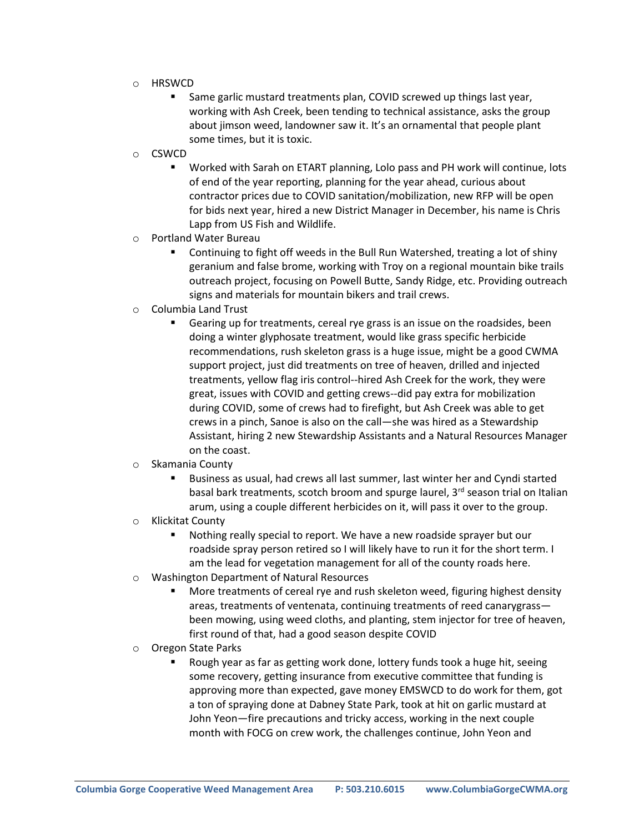- o HRSWCD
	- Same garlic mustard treatments plan, COVID screwed up things last year, working with Ash Creek, been tending to technical assistance, asks the group about jimson weed, landowner saw it. It's an ornamental that people plant some times, but it is toxic.
- o CSWCD
	- Worked with Sarah on ETART planning, Lolo pass and PH work will continue, lots of end of the year reporting, planning for the year ahead, curious about contractor prices due to COVID sanitation/mobilization, new RFP will be open for bids next year, hired a new District Manager in December, his name is Chris Lapp from US Fish and Wildlife.
- o Portland Water Bureau
	- Continuing to fight off weeds in the Bull Run Watershed, treating a lot of shiny geranium and false brome, working with Troy on a regional mountain bike trails outreach project, focusing on Powell Butte, Sandy Ridge, etc. Providing outreach signs and materials for mountain bikers and trail crews.
- o Columbia Land Trust
	- Gearing up for treatments, cereal rye grass is an issue on the roadsides, been doing a winter glyphosate treatment, would like grass specific herbicide recommendations, rush skeleton grass is a huge issue, might be a good CWMA support project, just did treatments on tree of heaven, drilled and injected treatments, yellow flag iris control--hired Ash Creek for the work, they were great, issues with COVID and getting crews--did pay extra for mobilization during COVID, some of crews had to firefight, but Ash Creek was able to get crews in a pinch, Sanoe is also on the call—she was hired as a Stewardship Assistant, hiring 2 new Stewardship Assistants and a Natural Resources Manager on the coast.
- o Skamania County
	- Business as usual, had crews all last summer, last winter her and Cyndi started basal bark treatments, scotch broom and spurge laurel, 3<sup>rd</sup> season trial on Italian arum, using a couple different herbicides on it, will pass it over to the group.
- o Klickitat County
	- Nothing really special to report. We have a new roadside sprayer but our roadside spray person retired so I will likely have to run it for the short term. I am the lead for vegetation management for all of the county roads here.
- o Washington Department of Natural Resources
	- More treatments of cereal rye and rush skeleton weed, figuring highest density areas, treatments of ventenata, continuing treatments of reed canarygrass been mowing, using weed cloths, and planting, stem injector for tree of heaven, first round of that, had a good season despite COVID
- o Oregon State Parks
	- Rough year as far as getting work done, lottery funds took a huge hit, seeing some recovery, getting insurance from executive committee that funding is approving more than expected, gave money EMSWCD to do work for them, got a ton of spraying done at Dabney State Park, took at hit on garlic mustard at John Yeon—fire precautions and tricky access, working in the next couple month with FOCG on crew work, the challenges continue, John Yeon and